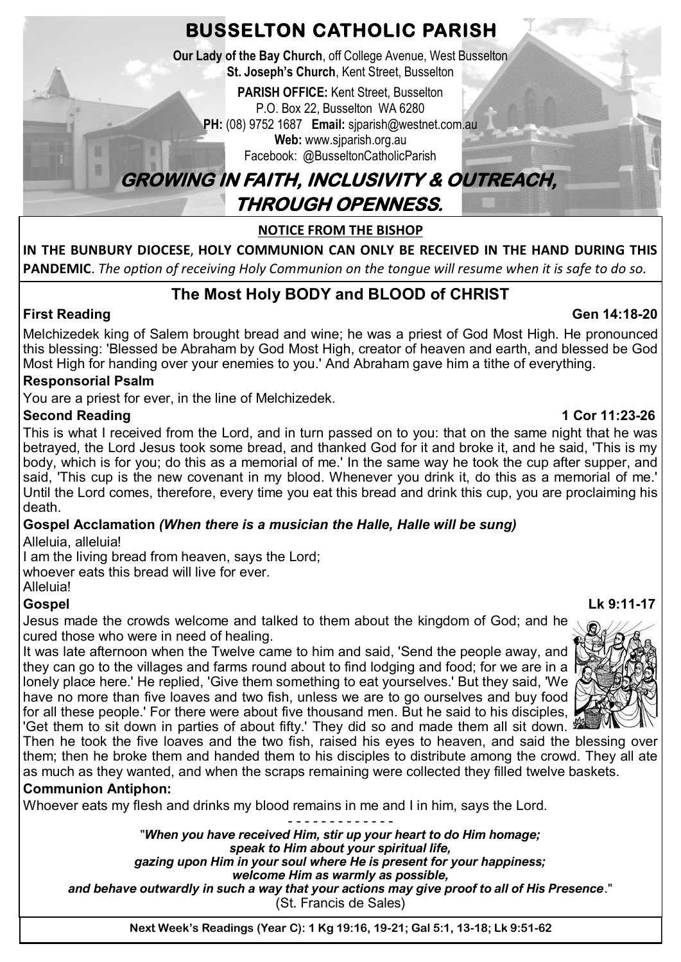**BUSSELTON CATHOLIC PARISH**

**Our Lady of the Bay Church**, off College Avenue, West Busselton **St. Joseph's Church, Kent Street, Busselton** 

**PARISH OFFICE:** Kent Street, Busselton P.O. Box 22, Busselton WA 6280 **PH:** (08) 9752 1687 **Email:** sjparish@westnet.com.au **Web:** www.sjparish.org.au

Facebook: @BusseltonCatholicParish

# **GROWING IN FAITH, INCLUSIVITY & OUTREACH, THROUGH OPENNESS.**

**NOTICE FROM THE BISHOP**

**IN THE BUNBURY DIOCESE**, **HOLY COMMUNION CAN ONLY BE RECEIVED IN THE HAND DURING THIS PANDEMIC**. *The option of receiving Holy Communion on the tongue will resume when it is safe to do so.* 

## **The Most Holy BODY and BLOOD of CHRIST**

## **First Reading Gen 14:18-20**

Melchizedek king of Salem brought bread and wine; he was a priest of God Most High. He pronounced this blessing: 'Blessed be Abraham by God Most High, creator of heaven and earth, and blessed be God Most High for handing over your enemies to you.' And Abraham gave him a tithe of everything.

## **Responsorial Psalm**

You are a priest for ever, in the line of Melchizedek.

## **Second Reading 1 Cor 11:23-26**

This is what I received from the Lord, and in turn passed on to you: that on the same night that he was betrayed, the Lord Jesus took some bread, and thanked God for it and broke it, and he said, 'This is my body, which is for you; do this as a memorial of me.' In the same way he took the cup after supper, and said, 'This cup is the new covenant in my blood. Whenever you drink it, do this as a memorial of me.' Until the Lord comes, therefore, every time you eat this bread and drink this cup, you are proclaiming his death.

## **Gospel Acclamation** *(When there is a musician the Halle, Halle will be sung)*

Alleluia, alleluia!

I am the living bread from heaven, says the Lord;

whoever eats this bread will live for ever.

Alleluia!

## **Gospel Lk 9:11-17**

Jesus made the crowds welcome and talked to them about the kingdom of God; and he cured those who were in need of healing.

It was late afternoon when the Twelve came to him and said, 'Send the people away, and they can go to the villages and farms round about to find lodging and food; for we are in a lonely place here.' He replied, 'Give them something to eat yourselves.' But they said, 'We have no more than five loaves and two fish, unless we are to go ourselves and buy food for all these people.' For there were about five thousand men. But he said to his disciples, 'Get them to sit down in parties of about fifty.' They did so and made them all sit down.

Then he took the five loaves and the two fish, raised his eyes to heaven, and said the blessing over them; then he broke them and handed them to his disciples to distribute among the crowd. They all ate as much as they wanted, and when the scraps remaining were collected they filled twelve baskets.

## **Communion Antiphon:**

Whoever eats my flesh and drinks my blood remains in me and I in him, says the Lord. - - - - - - - - - - - - -

"*When you have received Him, stir up your heart to do Him homage; speak to Him about your spiritual life, gazing upon Him in your soul where He is present for your happiness; welcome Him as warmly as possible, and behave outwardly in such a way that your actions may give proof to all of His Presence*." (St. Francis de Sales)

#### **Next Week's Readings (Year C): 1 Kg 19:16, 19-21; Gal 5:1, 13-18; Lk 9:51-62**

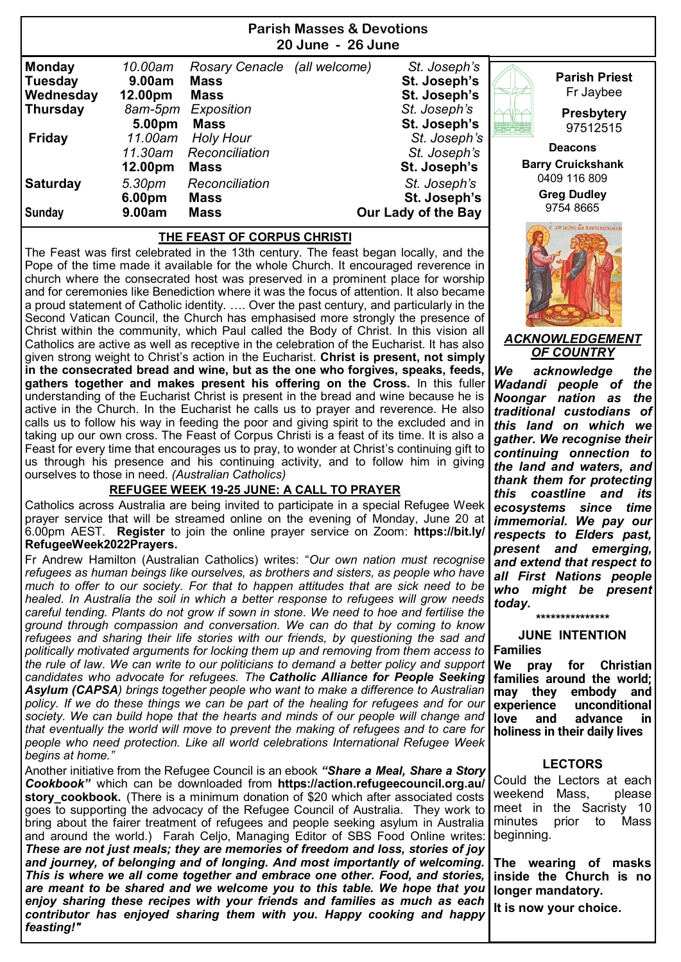|                                        |                              |                                                     | <b>Parish Masses &amp; Devotions</b><br>20 June - 26 June |                                                 |                                            |                                      |
|----------------------------------------|------------------------------|-----------------------------------------------------|-----------------------------------------------------------|-------------------------------------------------|--------------------------------------------|--------------------------------------|
| Monday<br>∣Tuesday<br><b>Wednesday</b> | 10.00am<br>9.00am<br>12.00pm | <b>Rosary Cenacle</b><br><b>Mass</b><br><b>Mass</b> | (all welcome)                                             | St. Joseph's<br>St. Joseph's<br>St. Joseph's    |                                            | <b>Parish Priest</b><br>Fr Jaybee    |
| <b>Thursday</b><br><b>Friday</b>       | 8am-5pm<br>5.00pm<br>11.00am | Exposition<br><b>Mass</b><br><b>Holy Hour</b>       |                                                           | St. Joseph's<br>St. Joseph's<br>St. Joseph's    |                                            | <b>Presbytery</b><br>97512515        |
|                                        | 11.30am<br>12.00pm           | Reconciliation<br><b>Mass</b>                       |                                                           | St. Joseph's<br>St. Joseph's                    | <b>Deacons</b><br><b>Barry Cruickshank</b> |                                      |
| <b>Saturday</b><br><b>Sunday</b>       | 5.30pm<br>6.00pm<br>9.00am   | Reconciliation<br><b>Mass</b><br><b>Mass</b>        | St. Joseph's<br>St. Joseph's<br>Our Lady of the Bay       | 0409 116 809<br><b>Greg Dudley</b><br>9754 8665 |                                            |                                      |
|                                        |                              |                                                     |                                                           |                                                 |                                            | <b>CONTACHOS CON TENTARICXIAILIN</b> |

#### **THE FEAST OF CORPUS CHRISTI**

The Feast was first celebrated in the 13th century. The feast began locally, and the Pope of the time made it available for the whole Church. It encouraged reverence in church where the consecrated host was preserved in a prominent place for worship and for ceremonies like Benediction where it was the focus of attention. It also became a proud statement of Catholic identity. …. Over the past century, and particularly in the Second Vatican Council, the Church has emphasised more strongly the presence of Christ within the community, which Paul called the Body of Christ. In this vision all Catholics are active as well as receptive in the celebration of the Eucharist. It has also given strong weight to Christ's action in the Eucharist. **Christ is present, not simply in the consecrated bread and wine, but as the one who forgives, speaks, feeds, gathers together and makes present his offering on the Cross.** In this fuller understanding of the Eucharist Christ is present in the bread and wine because he is active in the Church. In the Eucharist he calls us to prayer and reverence. He also calls us to follow his way in feeding the poor and giving spirit to the excluded and in taking up our own cross. The Feast of Corpus Christi is a feast of its time. It is also a Feast for every time that encourages us to pray, to wonder at Christ's continuing gift to us through his presence and his continuing activity, and to follow him in giving ourselves to those in need. *(Australian Catholics)*

#### **REFUGEE WEEK 19-25 JUNE: A CALL TO PRAYER**

Catholics across Australia are being invited to participate in a special Refugee Week prayer service that will be streamed online on the evening of Monday, June 20 at 6.00pm AEST. **Register** to join the online prayer service on Zoom: **[https://bit.ly/](https://bit.ly/RefugeeWeek2022Prayers) [RefugeeWeek2022Prayers.](https://bit.ly/RefugeeWeek2022Prayers)** 

Fr Andrew Hamilton (Australian Catholics) writes: "*Our own nation must recognise refugees as human beings like ourselves, as brothers and sisters, as people who have much to offer to our society. For that to happen attitudes that are sick need to be healed. In Australia the soil in which a better response to refugees will grow needs careful tending. Plants do not grow if sown in stone. We need to hoe and fertilise the ground through compassion and conversation. We can do that by coming to know refugees and sharing their life stories with our friends, by questioning the sad and politically motivated arguments for locking them up and removing from them access to the rule of law. We can write to our politicians to demand a better policy and support candidates who advocate for refugees. The [Catholic Alliance for People Seeking](https://capsa.org.au/)  [Asylum \(CAPSA](https://capsa.org.au/)) brings together people who want to make a difference to Australian policy. If we do these things we can be part of the healing for refugees and for our society. We can build hope that the hearts and minds of our people will change and that eventually the world will move to prevent the making of refugees and to care for people who need protection. Like all world celebrations International Refugee Week begins at home."*

Another initiative from the Refugee Council is an ebook *"Share a Meal, Share a Story Cookbook"* which can be downloaded from **https://action.refugeecouncil.org.au/ story** cookbook. (There is a minimum donation of \$20 which after associated costs goes to supporting the advocacy of the Refugee Council of Australia. They work to bring about the fairer treatment of refugees and people seeking asylum in Australia and around the world.) Farah Celjo, Managing Editor of SBS Food Online writes: *These are not just meals; they are memories of freedom and loss, stories of joy* 

*and journey, of belonging and of longing. And most importantly of welcoming. This is where we all come together and embrace one other. Food, and stories, are meant to be shared and we welcome you to this table. We hope that you enjoy sharing these recipes with your friends and families as much as each contributor has enjoyed sharing them with you. Happy cooking and happy feasting!"*

*ACKNOWLEDGEMENT OF COUNTRY We acknowledge the* 

*Wadandi people of the Noongar nation as the traditional custodians of this land on which we gather. We recognise their continuing onnection to the land and waters, and thank them for protecting this coastline and its ecosystems since time immemorial. We pay our respects to Elders past, present and emerging, and extend that respect to all First Nations people who might be present today.* 

**\*\*\*\*\*\*\*\*\*\*\*\*\*\*\***

#### **JUNE INTENTION**

**Families**

**We pray for Christian families around the world; may they embody and experience unconditional love and advance in holiness in their daily lives**

#### **LECTORS**

Could the Lectors at each weekend Mass, please meet in the Sacristy 10 minutes prior to Mass beginning.

**The wearing of masks inside the Church is no longer mandatory.** 

**It is now your choice.**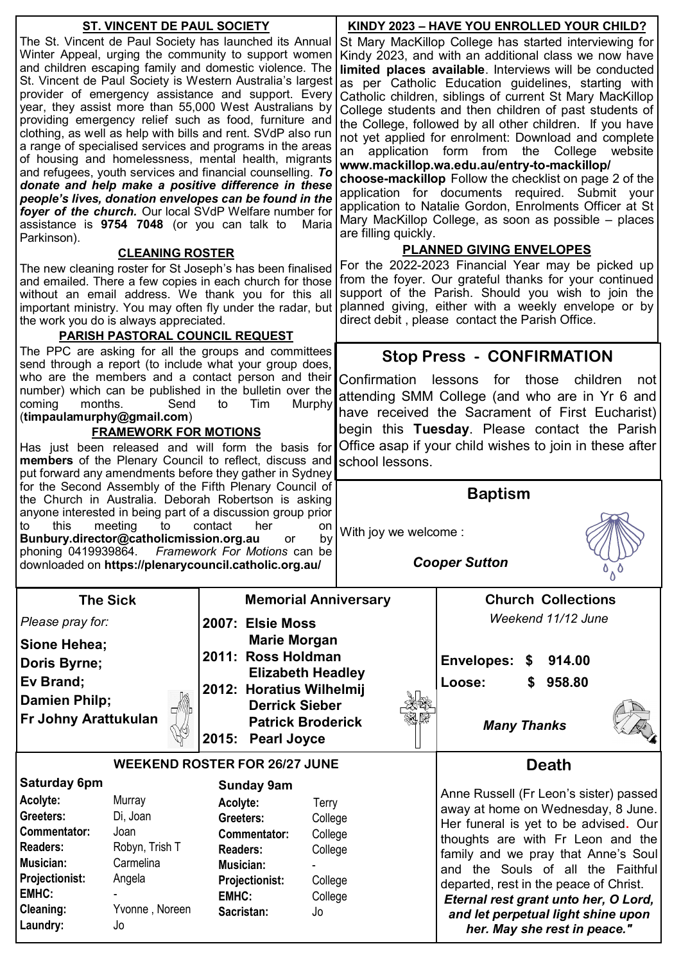|                       | <b>ST. VINCENT DE PAUL SOCIETY</b>                       |                                                                                                                       |                                                                                                            | KINDY 2023 - HAVE YOU ENROLLED YOUR CHILD?                                                                      |  |  |
|-----------------------|----------------------------------------------------------|-----------------------------------------------------------------------------------------------------------------------|------------------------------------------------------------------------------------------------------------|-----------------------------------------------------------------------------------------------------------------|--|--|
|                       |                                                          | The St. Vincent de Paul Society has launched its Annual                                                               |                                                                                                            | St Mary MacKillop College has started interviewing for                                                          |  |  |
|                       |                                                          | Winter Appeal, urging the community to support women                                                                  |                                                                                                            | Kindy 2023, and with an additional class we now have                                                            |  |  |
|                       |                                                          | and children escaping family and domestic violence. The<br>St. Vincent de Paul Society is Western Australia's largest |                                                                                                            | limited places available. Interviews will be conducted                                                          |  |  |
|                       |                                                          | provider of emergency assistance and support. Every                                                                   |                                                                                                            | as per Catholic Education guidelines, starting with<br>Catholic children, siblings of current St Mary MacKillop |  |  |
|                       |                                                          | year, they assist more than 55,000 West Australians by                                                                | College students and then children of past students of                                                     |                                                                                                                 |  |  |
|                       |                                                          | providing emergency relief such as food, furniture and                                                                |                                                                                                            | the College, followed by all other children. If you have                                                        |  |  |
|                       |                                                          | clothing, as well as help with bills and rent. SVdP also run                                                          | not yet applied for enrolment: Download and complete                                                       |                                                                                                                 |  |  |
|                       |                                                          | a range of specialised services and programs in the areas<br>of housing and homelessness, mental health, migrants     |                                                                                                            | an application form from the College website                                                                    |  |  |
|                       |                                                          | and refugees, youth services and financial counselling. To                                                            | www.mackillop.wa.edu.au/entry-to-mackillop/                                                                |                                                                                                                 |  |  |
|                       |                                                          | donate and help make a positive difference in these                                                                   | choose-mackillop Follow the checklist on page 2 of the                                                     |                                                                                                                 |  |  |
|                       |                                                          | people's lives, donation envelopes can be found in the                                                                | application for documents required. Submit your<br>application to Natalie Gordon, Enrolments Officer at St |                                                                                                                 |  |  |
|                       |                                                          | foyer of the church. Our local SVdP Welfare number for                                                                | Mary MacKillop College, as soon as possible - places                                                       |                                                                                                                 |  |  |
| Parkinson).           | assistance is 9754 7048 (or you can talk to              | Maria                                                                                                                 | are filling quickly.                                                                                       |                                                                                                                 |  |  |
|                       | <b>CLEANING ROSTER</b>                                   |                                                                                                                       | <b>PLANNED GIVING ENVELOPES</b>                                                                            |                                                                                                                 |  |  |
|                       |                                                          | The new cleaning roster for St Joseph's has been finalised                                                            | For the 2022-2023 Financial Year may be picked up                                                          |                                                                                                                 |  |  |
|                       |                                                          | and emailed. There a few copies in each church for those                                                              | from the foyer. Our grateful thanks for your continued                                                     |                                                                                                                 |  |  |
|                       |                                                          | without an email address. We thank you for this all                                                                   |                                                                                                            | support of the Parish. Should you wish to join the                                                              |  |  |
|                       |                                                          | important ministry. You may often fly under the radar, but                                                            | planned giving, either with a weekly envelope or by<br>direct debit, please contact the Parish Office.     |                                                                                                                 |  |  |
|                       | the work you do is always appreciated.                   |                                                                                                                       |                                                                                                            |                                                                                                                 |  |  |
|                       |                                                          | <b>PARISH PASTORAL COUNCIL REQUEST</b>                                                                                |                                                                                                            |                                                                                                                 |  |  |
|                       |                                                          | The PPC are asking for all the groups and committees<br>send through a report (to include what your group does,       | <b>Stop Press - CONFIRMATION</b>                                                                           |                                                                                                                 |  |  |
|                       |                                                          | who are the members and a contact person and their                                                                    | Confirmation lessons for those<br>children<br>not                                                          |                                                                                                                 |  |  |
|                       |                                                          | number) which can be published in the bulletin over the                                                               | attending SMM College (and who are in Yr 6 and                                                             |                                                                                                                 |  |  |
| months.<br>coming     | Send                                                     | Murphy<br>Tim<br>to                                                                                                   | have received the Sacrament of First Eucharist)                                                            |                                                                                                                 |  |  |
|                       | (timpaulamurphy@gmail.com)                               |                                                                                                                       | begin this Tuesday. Please contact the Parish                                                              |                                                                                                                 |  |  |
|                       | <b>FRAMEWORK FOR MOTIONS</b>                             | Has just been released and will form the basis for                                                                    |                                                                                                            | Office asap if your child wishes to join in these after                                                         |  |  |
|                       |                                                          | members of the Plenary Council to reflect, discuss and                                                                | school lessons.                                                                                            |                                                                                                                 |  |  |
|                       |                                                          |                                                                                                                       |                                                                                                            |                                                                                                                 |  |  |
|                       |                                                          | put forward any amendments before they gather in Sydney                                                               |                                                                                                            |                                                                                                                 |  |  |
|                       |                                                          | for the Second Assembly of the Fifth Plenary Council of                                                               |                                                                                                            |                                                                                                                 |  |  |
|                       |                                                          | the Church in Australia. Deborah Robertson is asking                                                                  |                                                                                                            | <b>Baptism</b>                                                                                                  |  |  |
|                       |                                                          | anyone interested in being part of a discussion group prior                                                           |                                                                                                            |                                                                                                                 |  |  |
| this<br>to            | meeting<br>to<br>Bunbury.director@catholicmission.org.au | contact<br>her<br>by<br>or                                                                                            | on With joy we welcome :                                                                                   |                                                                                                                 |  |  |
| phoning 0419939864.   |                                                          | Framework For Motions can be                                                                                          |                                                                                                            |                                                                                                                 |  |  |
|                       |                                                          | downloaded on https://plenarycouncil.catholic.org.au/                                                                 |                                                                                                            | <b>Cooper Sutton</b>                                                                                            |  |  |
|                       |                                                          |                                                                                                                       |                                                                                                            |                                                                                                                 |  |  |
|                       | <b>The Sick</b>                                          | <b>Memorial Anniversary</b>                                                                                           |                                                                                                            | <b>Church Collections</b>                                                                                       |  |  |
| Please pray for:      |                                                          | 2007: Elsie Moss                                                                                                      |                                                                                                            | Weekend 11/12 June                                                                                              |  |  |
| Sione Hehea;          |                                                          | <b>Marie Morgan</b>                                                                                                   |                                                                                                            |                                                                                                                 |  |  |
|                       |                                                          | 2011: Ross Holdman                                                                                                    |                                                                                                            | <b>Envelopes:</b><br>914.00<br>\$                                                                               |  |  |
| Doris Byrne;          |                                                          | <b>Elizabeth Headley</b>                                                                                              |                                                                                                            |                                                                                                                 |  |  |
| Ev Brand;             |                                                          | 2012: Horatius Wilhelmij                                                                                              |                                                                                                            | Loose:<br>958.80                                                                                                |  |  |
| Damien Philp;         |                                                          | <b>Derrick Sieber</b>                                                                                                 |                                                                                                            |                                                                                                                 |  |  |
| Fr Johny Arattukulan  |                                                          | <b>Patrick Broderick</b>                                                                                              |                                                                                                            | <b>Many Thanks</b>                                                                                              |  |  |
|                       |                                                          | <b>Pearl Joyce</b><br>2015:                                                                                           |                                                                                                            |                                                                                                                 |  |  |
|                       |                                                          | <b>WEEKEND ROSTER FOR 26/27 JUNE</b>                                                                                  |                                                                                                            | <b>Death</b>                                                                                                    |  |  |
| Saturday 6pm          |                                                          |                                                                                                                       |                                                                                                            |                                                                                                                 |  |  |
| Acolyte:              | Murray                                                   | <b>Sunday 9am</b>                                                                                                     |                                                                                                            | Anne Russell (Fr Leon's sister) passed                                                                          |  |  |
| Greeters:             | Di, Joan                                                 | Acolyte:<br><b>Terry</b>                                                                                              |                                                                                                            | away at home on Wednesday, 8 June.                                                                              |  |  |
| <b>Commentator:</b>   | Joan                                                     | Greeters:<br>Commentator:                                                                                             | College                                                                                                    | Her funeral is yet to be advised. Our                                                                           |  |  |
| <b>Readers:</b>       | Robyn, Trish T                                           | <b>Readers:</b>                                                                                                       | College<br>College                                                                                         | thoughts are with Fr Leon and the                                                                               |  |  |
| Musician:             | Carmelina                                                | Musician:                                                                                                             |                                                                                                            | family and we pray that Anne's Soul                                                                             |  |  |
| <b>Projectionist:</b> | Angela                                                   | <b>Projectionist:</b>                                                                                                 | College                                                                                                    | and the Souls of all the Faithful                                                                               |  |  |
| <b>EMHC:</b>          |                                                          | <b>EMHC:</b>                                                                                                          | College                                                                                                    | departed, rest in the peace of Christ.                                                                          |  |  |
| Cleaning:<br>Laundry: | Yvonne, Noreen<br>Jo                                     | Sacristan:<br>Jo                                                                                                      |                                                                                                            | Eternal rest grant unto her, O Lord,<br>and let perpetual light shine upon                                      |  |  |